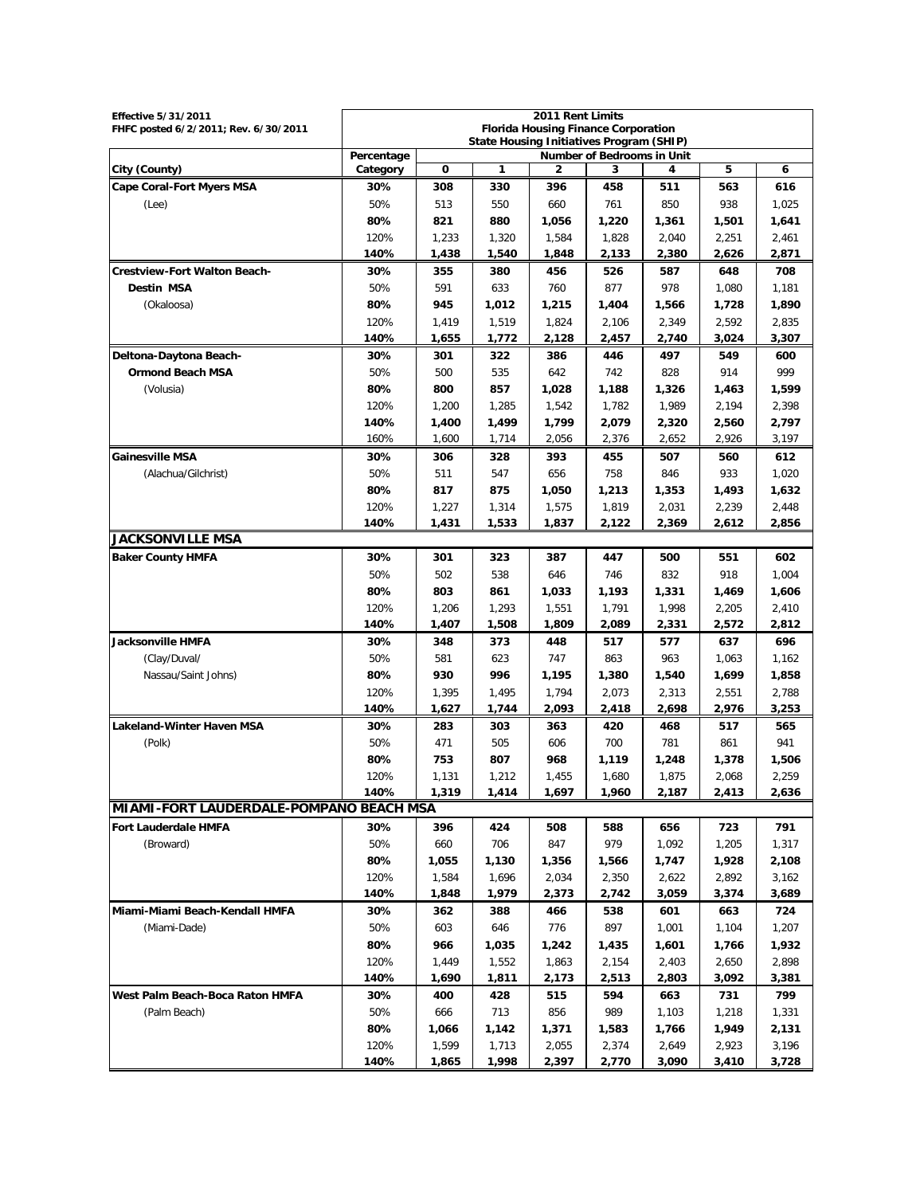| <b>Effective 5/31/2011</b>                     |                                                                                             |                |                | 2011 Rent Limits                           |                |                |                |                |
|------------------------------------------------|---------------------------------------------------------------------------------------------|----------------|----------------|--------------------------------------------|----------------|----------------|----------------|----------------|
| FHFC posted 6/2/2011; Rev. 6/30/2011           |                                                                                             |                |                | <b>Florida Housing Finance Corporation</b> |                |                |                |                |
|                                                | <b>State Housing Initiatives Program (SHIP)</b><br>Percentage<br>Number of Bedrooms in Unit |                |                |                                            |                |                |                |                |
| City (County)                                  | Category                                                                                    | 0              | 1              | 2                                          | 3              | 4              | 5              | 6              |
| <b>Cape Coral-Fort Myers MSA</b>               | 30%                                                                                         | 308            | 330            | 396                                        | 458            | 511            | 563            | 616            |
| (Lee)                                          | 50%                                                                                         | 513            | 550            | 660                                        | 761            | 850            | 938            | 1,025          |
|                                                | 80%                                                                                         | 821            | 880            | 1,056                                      | 1,220          | 1,361          | 1,501          | 1,641          |
|                                                | 120%                                                                                        | 1,233          | 1,320          | 1,584                                      | 1,828          | 2,040          | 2,251          | 2,461          |
|                                                | 140%                                                                                        | 1,438          | 1,540          | 1,848                                      | 2,133          | 2,380          | 2,626          | 2,871          |
| <b>Crestview-Fort Walton Beach-</b>            | 30%                                                                                         | 355            | 380            | 456                                        | 526            | 587            | 648            | 708            |
| <b>Destin MSA</b>                              | 50%                                                                                         | 591            | 633            | 760                                        | 877            | 978            | 1,080          | 1,181          |
| (Okaloosa)                                     | 80%                                                                                         | 945            | 1,012          | 1,215                                      | 1,404          | 1,566          | 1,728          | 1,890          |
|                                                | 120%                                                                                        | 1,419          | 1,519          | 1,824                                      | 2,106          | 2,349          | 2,592          | 2,835          |
|                                                | 140%                                                                                        | 1,655          | 1,772          | 2,128                                      | 2,457          | 2,740          | 3,024          | 3,307          |
| Deltona-Daytona Beach-                         | 30%                                                                                         | 301            | 322            | 386                                        | 446            | 497            | 549            | 600            |
| <b>Ormond Beach MSA</b>                        | 50%                                                                                         | 500            | 535            | 642                                        | 742            | 828            | 914            | 999            |
| (Volusia)                                      | 80%                                                                                         | 800            | 857            | 1,028                                      | 1,188          | 1,326          | 1,463          | 1,599          |
|                                                | 120%                                                                                        | 1,200          | 1,285          | 1,542                                      | 1,782          | 1,989          | 2,194          | 2,398          |
|                                                | 140%                                                                                        | 1,400          | 1.499          | 1,799                                      | 2,079          | 2,320          | 2,560          | 2,797          |
|                                                | 160%                                                                                        | 1,600          | 1,714          | 2,056                                      | 2,376          | 2,652          | 2,926          | 3,197          |
| <b>Gainesville MSA</b>                         | 30%                                                                                         | 306            | 328            | 393                                        | 455            | 507            | 560            | 612            |
| (Alachua/Gilchrist)                            | 50%                                                                                         | 511            | 547            | 656                                        | 758            | 846            | 933            | 1,020          |
|                                                | 80%                                                                                         | 817            | 875            | 1,050                                      | 1,213          | 1,353          | 1,493          | 1,632          |
|                                                | 120%                                                                                        | 1,227          | 1,314          | 1,575                                      | 1,819          | 2,031          | 2,239          | 2,448          |
|                                                | 140%                                                                                        | 1,431          | 1,533          | 1.837                                      | 2,122          | 2,369          | 2,612          | 2,856          |
| <b>JACKSONVILLE MSA</b>                        |                                                                                             |                |                |                                            |                |                |                |                |
| <b>Baker County HMFA</b>                       | 30%                                                                                         | 301            | 323            | 387                                        | 447            | 500            | 551            | 602            |
|                                                | 50%                                                                                         | 502            | 538            | 646                                        | 746            | 832            | 918            | 1,004          |
|                                                | 80%                                                                                         | 803            | 861            | 1,033                                      | 1,193          | 1,331          | 1,469          | 1,606          |
|                                                | 120%                                                                                        | 1,206          | 1,293          | 1,551                                      | 1,791          | 1,998          | 2,205          | 2,410          |
|                                                | 140%                                                                                        | 1,407          | 1,508          | 1,809                                      | 2,089          | 2,331          | 2,572          | 2,812          |
| Jacksonville HMFA                              | 30%                                                                                         | 348            | 373            | 448                                        | 517            | 577            | 637            | 696            |
| (Clay/Duval/                                   | 50%                                                                                         | 581            | 623            | 747                                        | 863            | 963            | 1,063          | 1,162          |
| Nassau/Saint Johns)                            | 80%                                                                                         | 930            | 996            | 1,195                                      | 1,380          | 1,540          | 1,699          | 1,858          |
|                                                | 120%                                                                                        | 1,395          | 1,495          | 1,794                                      | 2,073          | 2,313          | 2,551          | 2,788          |
|                                                | 140%                                                                                        | 1,627          | 1,744          | 2,093                                      | 2,418          | 2,698          | 2,976          | 3,253          |
| <b>Lakeland-Winter Haven MSA</b>               | 30%                                                                                         | 283            | 303            | 363                                        | 420            | 468            | 517            | 565            |
| (Polk)                                         | 50%                                                                                         | 471            | 505            | 606                                        | 700            | 781            | 861            | 941            |
|                                                | 80%                                                                                         | 753            | 807            | 968                                        | 1,119          | 1,248          | 1,378          | 1,506          |
|                                                | 120%                                                                                        | 1,131          | 1,212          | 1,455                                      | 1,680          | 1,875          | 2,068          | 2,259          |
|                                                | 140%                                                                                        | 1,319          | 1,414          | 1,697                                      | 1,960          | 2,187          | 2,413          | 2,636          |
| <b>MIAMI-FORT LAUDERDALE-POMPANO BEACH MSA</b> |                                                                                             |                |                |                                            |                |                |                |                |
| <b>Fort Lauderdale HMFA</b>                    | 30%                                                                                         | 396            | 424            | 508                                        | 588            | 656            | 723            | 791            |
| (Broward)                                      | 50%                                                                                         | 660            | 706            | 847                                        | 979            | 1,092          | 1,205          | 1,317          |
|                                                | 80%                                                                                         | 1,055          | 1,130          | 1,356                                      | 1,566          | 1,747          | 1,928          | 2,108          |
|                                                | 120%                                                                                        | 1,584          | 1,696          | 2,034                                      | 2,350          | 2,622          | 2,892          | 3,162          |
|                                                | 140%                                                                                        | 1,848          | 1,979          | 2,373                                      | 2,742          | 3,059          | 3,374          | 3,689          |
| Miami-Miami Beach-Kendall HMFA                 | 30%                                                                                         | 362            | 388            | 466                                        | 538            | 601            | 663            | 724            |
| (Miami-Dade)                                   | 50%                                                                                         | 603            | 646            | 776                                        | 897            | 1,001          | 1,104          | 1,207          |
|                                                | 80%                                                                                         | 966            | 1,035          | 1,242                                      | 1,435          | 1,601          | 1,766          | 1,932          |
|                                                | 120%                                                                                        | 1,449          | 1,552          | 1,863                                      | 2,154          | 2,403          | 2,650          | 2,898          |
|                                                | 140%                                                                                        | 1,690          | 1,811          | 2,173                                      | 2,513          | 2,803          | 3,092          | 3,381          |
| West Palm Beach-Boca Raton HMFA                | 30%                                                                                         | 400            | 428            | 515                                        | 594            | 663            | 731            | 799            |
| (Palm Beach)                                   | 50%                                                                                         | 666            | 713            | 856                                        | 989            | 1,103          | 1,218          | 1,331          |
|                                                | 80%<br>120%                                                                                 | 1,066<br>1,599 | 1,142<br>1,713 | 1,371<br>2,055                             | 1,583<br>2,374 | 1,766<br>2,649 | 1,949          | 2,131<br>3,196 |
|                                                | 140%                                                                                        | 1,865          | 1,998          | 2,397                                      | 2,770          | 3,090          | 2,923<br>3,410 | 3,728          |
|                                                |                                                                                             |                |                |                                            |                |                |                |                |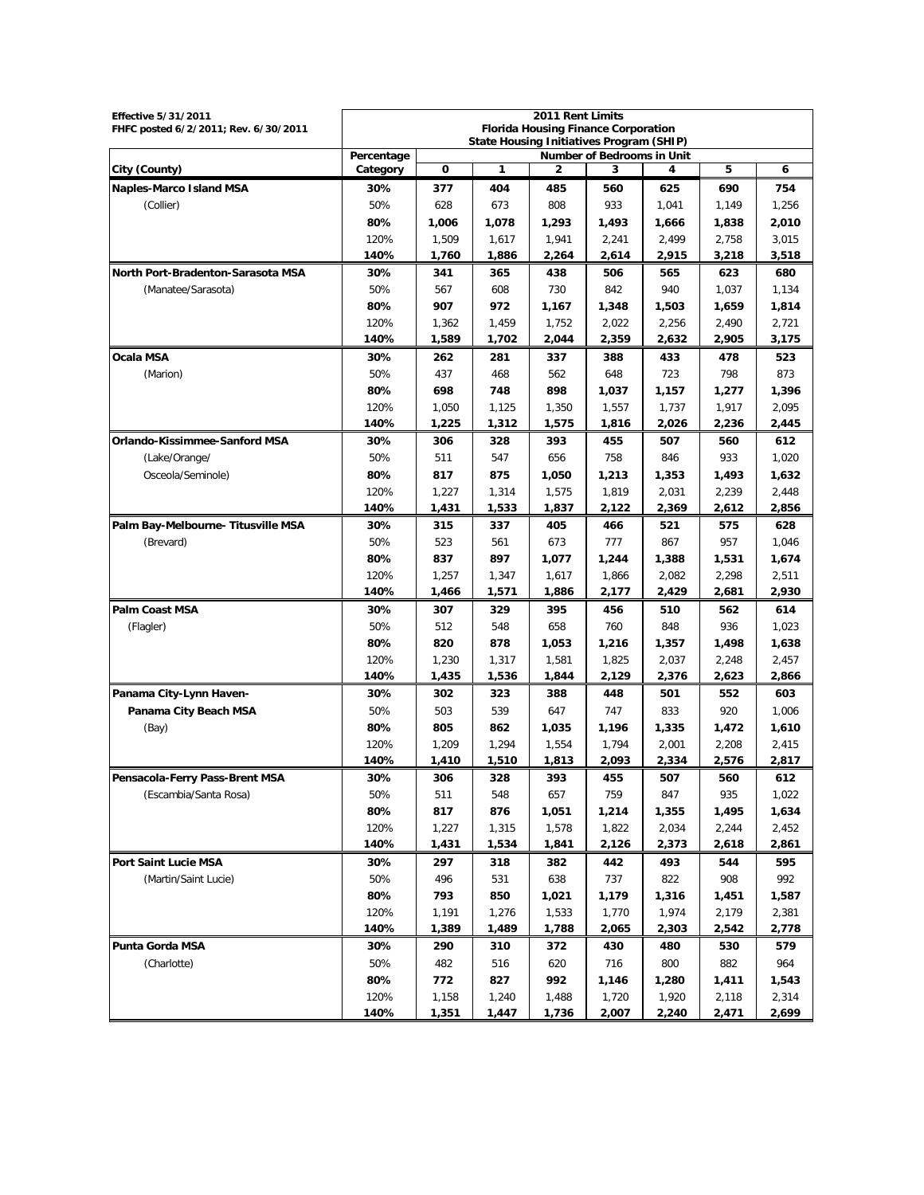| 2011 Rent Limits<br><b>Effective 5/31/2011</b> |                                                 |                |                                                                                        |                |                |                |                |                |  |  |
|------------------------------------------------|-------------------------------------------------|----------------|----------------------------------------------------------------------------------------|----------------|----------------|----------------|----------------|----------------|--|--|
| FHFC posted 6/2/2011; Rev. 6/30/2011           |                                                 |                | <b>Florida Housing Finance Corporation</b><br>State Housing Initiatives Program (SHIP) |                |                |                |                |                |  |  |
|                                                | Percentage<br><b>Number of Bedrooms in Unit</b> |                |                                                                                        |                |                |                |                |                |  |  |
| City (County)                                  | Category                                        | 0              | 1                                                                                      | 2              | 3              | 4              | 5              | 6              |  |  |
| <b>Naples-Marco Island MSA</b>                 | 30%                                             | 377            | 404                                                                                    | 485            | 560            | 625            | 690            | 754            |  |  |
| (Collier)                                      | 50%                                             | 628            | 673                                                                                    | 808            | 933            | 1,041          | 1,149          | 1,256          |  |  |
|                                                | 80%                                             | 1,006          | 1,078                                                                                  | 1,293          | 1,493          | 1,666          | 1,838          | 2,010          |  |  |
|                                                | 120%                                            | 1,509          | 1,617                                                                                  | 1,941          | 2,241          | 2,499          | 2,758          | 3,015          |  |  |
|                                                | 140%                                            | 1,760          | 1,886                                                                                  | 2,264          | 2,614          | 2,915          | 3,218          | 3,518          |  |  |
| North Port-Bradenton-Sarasota MSA              | 30%                                             | 341            | 365                                                                                    | 438            | 506            | 565            | 623            | 680            |  |  |
| (Manatee/Sarasota)                             | 50%                                             | 567            | 608                                                                                    | 730            | 842            | 940            | 1,037          | 1,134          |  |  |
|                                                | 80%                                             | 907            | 972                                                                                    | 1,167          | 1,348          | 1,503          | 1,659          | 1,814          |  |  |
|                                                | 120%                                            | 1,362          | 1.459                                                                                  | 1,752          | 2,022          | 2,256          | 2,490          | 2,721          |  |  |
|                                                | 140%                                            | 1,589          | 1,702                                                                                  | 2,044          | 2,359          | 2,632          | 2,905          | 3,175          |  |  |
| Ocala MSA                                      | 30%                                             | 262            | 281                                                                                    | 337            | 388            | 433            | 478            | 523            |  |  |
| (Marion)                                       | 50%                                             | 437            | 468                                                                                    | 562            | 648            | 723            | 798            | 873            |  |  |
|                                                | 80%                                             | 698            | 748                                                                                    | 898            | 1,037          | 1,157          | 1,277          | 1,396          |  |  |
|                                                | 120%<br>140%                                    | 1,050          | 1,125                                                                                  | 1,350          | 1,557          | 1,737<br>2,026 | 1,917          | 2,095          |  |  |
| Orlando-Kissimmee-Sanford MSA                  |                                                 | 1,225          | 1,312                                                                                  | 1,575          | 1,816          |                | 2,236          | 2,445          |  |  |
|                                                | 30%<br>50%                                      | 306<br>511     | 328                                                                                    | 393<br>656     | 455<br>758     | 507            | 560<br>933     | 612            |  |  |
| (Lake/Orange/                                  | 80%                                             | 817            | 547<br>875                                                                             |                |                | 846            |                | 1,020          |  |  |
| Osceola/Seminole)                              | 120%                                            |                |                                                                                        | 1,050          | 1,213          | 1,353          | 1,493          | 1,632          |  |  |
|                                                | 140%                                            | 1,227<br>1,431 | 1,314<br>1,533                                                                         | 1,575<br>1,837 | 1,819<br>2,122 | 2,031<br>2,369 | 2,239<br>2,612 | 2,448<br>2,856 |  |  |
| Palm Bay-Melbourne- Titusville MSA             | 30%                                             | 315            | 337                                                                                    | 405            | 466            | 521            | 575            | 628            |  |  |
| (Brevard)                                      | 50%                                             | 523            | 561                                                                                    | 673            | 777            | 867            | 957            | 1,046          |  |  |
|                                                | 80%                                             | 837            | 897                                                                                    | 1,077          | 1,244          | 1,388          | 1,531          | 1,674          |  |  |
|                                                | 120%                                            | 1,257          | 1,347                                                                                  | 1,617          | 1,866          | 2,082          | 2,298          | 2,511          |  |  |
|                                                | 140%                                            | 1,466          | 1,571                                                                                  | 1,886          | 2,177          | 2,429          | 2,681          | 2,930          |  |  |
| <b>Palm Coast MSA</b>                          | 30%                                             | 307            | 329                                                                                    | 395            | 456            | 510            | 562            | 614            |  |  |
| (Flagler)                                      | 50%                                             | 512            | 548                                                                                    | 658            | 760            | 848            | 936            | 1,023          |  |  |
|                                                | 80%                                             | 820            | 878                                                                                    | 1,053          | 1,216          | 1,357          | 1,498          | 1,638          |  |  |
|                                                | 120%                                            | 1,230          | 1,317                                                                                  | 1,581          | 1,825          | 2,037          | 2,248          | 2,457          |  |  |
|                                                | 140%                                            | 1,435          | 1,536                                                                                  | 1,844          | 2,129          | 2,376          | 2,623          | 2,866          |  |  |
| Panama City-Lynn Haven-                        | 30%                                             | 302            | 323                                                                                    | 388            | 448            | 501            | 552            | 603            |  |  |
| Panama City Beach MSA                          | 50%                                             | 503            | 539                                                                                    | 647            | 747            | 833            | 920            | 1,006          |  |  |
| (Bay)                                          | 80%                                             | 805            | 862                                                                                    | 1,035          | 1,196          | 1,335          | 1,472          | 1,610          |  |  |
|                                                | 120%                                            | 1,209          | 1,294                                                                                  | 1,554          | 1,794          | 2,001          | 2,208          | 2,415          |  |  |
|                                                | 140%                                            | 1,410          | 1,510                                                                                  | 1,813          | 2,093          | 2,334          | 2,576          | 2,817          |  |  |
| Pensacola-Ferry Pass-Brent MSA                 | 30%                                             | 306            | 328                                                                                    | 393            | 455            | 507            | 560            | 612            |  |  |
| (Escambia/Santa Rosa)                          | 50%                                             | 511            | 548                                                                                    | 657            | 759            | 847            | 935            | 1,022          |  |  |
|                                                | 80%                                             | 817            | 876                                                                                    | 1,051          | 1,214          | 1,355          | 1,495          | 1,634          |  |  |
|                                                | 120%                                            | 1,227          | 1,315                                                                                  | 1,578          | 1,822          | 2,034          | 2,244          | 2,452          |  |  |
|                                                | 140%                                            | 1,431          | 1,534                                                                                  | 1,841          | 2,126          | 2,373          | 2,618          | 2,861          |  |  |
| Port Saint Lucie MSA                           | 30%                                             | 297            | 318                                                                                    | 382            | 442            | 493            | 544            | 595            |  |  |
| (Martin/Saint Lucie)                           | 50%                                             | 496            | 531                                                                                    | 638            | 737            | 822            | 908            | 992            |  |  |
|                                                | 80%                                             | 793            | 850                                                                                    | 1,021          | 1,179          | 1,316          | 1,451          | 1,587          |  |  |
|                                                | 120%                                            | 1,191          | 1,276                                                                                  | 1,533          | 1,770          | 1,974          | 2,179          | 2,381          |  |  |
|                                                | 140%                                            | 1,389          | 1,489                                                                                  | 1,788          | 2,065          | 2,303          | 2,542          | 2,778          |  |  |
| Punta Gorda MSA                                | 30%                                             | 290            | 310                                                                                    | 372            | 430            | 480            | 530            | 579            |  |  |
| (Charlotte)                                    | 50%                                             | 482            | 516                                                                                    | 620            | 716            | 800            | 882            | 964            |  |  |
|                                                | 80%                                             | 772            | 827                                                                                    | 992            | 1,146          | 1,280          | 1,411          | 1,543          |  |  |
|                                                | 120%                                            | 1,158          | 1,240                                                                                  | 1,488          | 1,720          | 1,920          | 2,118          | 2,314          |  |  |
|                                                | 140%                                            | 1,351          | 1,447                                                                                  | 1,736          | 2,007          | 2,240          | 2,471          | 2,699          |  |  |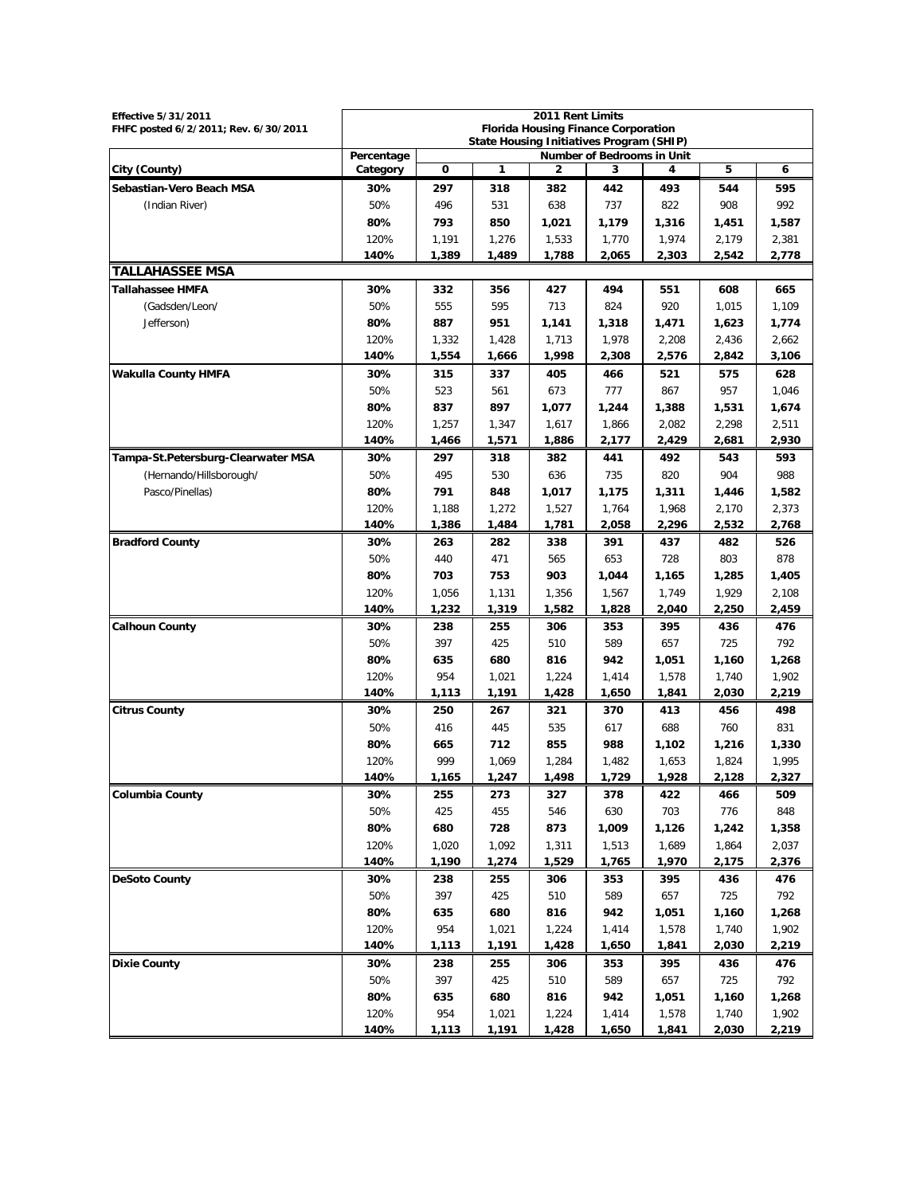| <b>Effective 5/31/2011</b><br>FHFC posted 6/2/2011; Rev. 6/30/2011 | 2011 Rent Limits<br><b>Florida Housing Finance Corporation</b><br>State Housing Initiatives Program (SHIP) |       |       |       |       |       |       |       |
|--------------------------------------------------------------------|------------------------------------------------------------------------------------------------------------|-------|-------|-------|-------|-------|-------|-------|
|                                                                    | Percentage<br>Number of Bedrooms in Unit                                                                   |       |       |       |       |       |       |       |
| City (County)                                                      | Category                                                                                                   | 0     | 1     | 2     | 3     | 4     | 5     | 6     |
| Sebastian-Vero Beach MSA                                           | 30%                                                                                                        | 297   | 318   | 382   | 442   | 493   | 544   | 595   |
| (Indian River)                                                     | 50%                                                                                                        | 496   | 531   | 638   | 737   | 822   | 908   | 992   |
|                                                                    | 80%                                                                                                        | 793   | 850   | 1,021 | 1,179 | 1,316 | 1,451 | 1,587 |
|                                                                    | 120%                                                                                                       | 1,191 | 1,276 | 1,533 | 1,770 | 1,974 | 2,179 | 2,381 |
|                                                                    | 140%                                                                                                       | 1,389 | 1,489 | 1,788 | 2,065 | 2,303 | 2,542 | 2,778 |
| <b>TALLAHASSEE MSA</b>                                             |                                                                                                            |       |       |       |       |       |       |       |
| <b>Tallahassee HMFA</b>                                            | 30%                                                                                                        | 332   | 356   | 427   | 494   | 551   | 608   | 665   |
| (Gadsden/Leon/                                                     | 50%                                                                                                        | 555   | 595   | 713   | 824   | 920   | 1,015 | 1,109 |
| Jefferson)                                                         | 80%                                                                                                        | 887   | 951   | 1,141 | 1,318 | 1,471 | 1,623 | 1,774 |
|                                                                    | 120%                                                                                                       | 1,332 | 1,428 | 1,713 | 1,978 | 2,208 | 2,436 | 2,662 |
|                                                                    | 140%                                                                                                       | 1,554 | 1,666 | 1,998 | 2,308 | 2,576 | 2,842 | 3,106 |
| <b>Wakulla County HMFA</b>                                         | 30%                                                                                                        | 315   | 337   | 405   | 466   | 521   | 575   | 628   |
|                                                                    | 50%                                                                                                        | 523   | 561   | 673   | 777   | 867   | 957   | 1,046 |
|                                                                    | 80%                                                                                                        | 837   | 897   | 1,077 | 1,244 | 1,388 | 1,531 | 1,674 |
|                                                                    | 120%                                                                                                       | 1,257 | 1,347 | 1,617 | 1,866 | 2,082 | 2,298 | 2,511 |
|                                                                    | 140%                                                                                                       | 1,466 | 1,571 | 1,886 | 2,177 | 2,429 | 2,681 | 2,930 |
| Tampa-St.Petersburg-Clearwater MSA                                 | 30%                                                                                                        | 297   | 318   | 382   | 441   | 492   | 543   | 593   |
| (Hernando/Hillsborough/                                            | 50%                                                                                                        | 495   | 530   | 636   | 735   | 820   | 904   | 988   |
| Pasco/Pinellas)                                                    | 80%                                                                                                        | 791   | 848   | 1,017 | 1,175 | 1,311 | 1,446 | 1,582 |
|                                                                    | 120%                                                                                                       | 1.188 | 1,272 | 1,527 | 1,764 | 1,968 | 2,170 | 2,373 |
|                                                                    | 140%                                                                                                       | 1,386 | 1,484 | 1,781 | 2,058 | 2,296 | 2,532 | 2,768 |
| <b>Bradford County</b>                                             | 30%                                                                                                        | 263   | 282   | 338   | 391   | 437   | 482   | 526   |
|                                                                    | 50%                                                                                                        | 440   | 471   | 565   | 653   | 728   | 803   | 878   |
|                                                                    | 80%                                                                                                        | 703   | 753   | 903   | 1,044 | 1,165 | 1,285 | 1,405 |
|                                                                    | 120%                                                                                                       | 1,056 | 1,131 | 1,356 | 1,567 | 1,749 | 1,929 | 2,108 |
|                                                                    | 140%                                                                                                       | 1,232 | 1,319 | 1,582 | 1,828 | 2,040 | 2,250 | 2,459 |
| <b>Calhoun County</b>                                              | 30%                                                                                                        | 238   | 255   | 306   | 353   | 395   | 436   | 476   |
|                                                                    | 50%                                                                                                        | 397   | 425   | 510   | 589   | 657   | 725   | 792   |
|                                                                    | 80%                                                                                                        | 635   | 680   | 816   | 942   | 1,051 | 1,160 | 1,268 |
|                                                                    | 120%                                                                                                       | 954   | 1,021 | 1,224 | 1,414 | 1,578 | 1,740 | 1,902 |
|                                                                    | 140%                                                                                                       | 1,113 | 1,191 | 1,428 | 1,650 | 1,841 | 2,030 | 2,219 |
| <b>Citrus County</b>                                               | 30%                                                                                                        | 250   | 267   | 321   | 370   | 413   | 456   | 498   |
|                                                                    | 50%                                                                                                        | 416   | 445   | 535   | 617   | 688   | 760   | 831   |
|                                                                    | 80%                                                                                                        | 665   | 712   | 855   | 988   | 1,102 | 1,216 | 1,330 |
|                                                                    | 120%                                                                                                       | 999   | 1,069 | 1,284 | 1,482 | 1,653 | 1,824 | 1,995 |
|                                                                    | 140%                                                                                                       | 1,165 | 1,247 | 1,498 | 1,729 | 1,928 | 2,128 | 2,327 |
| <b>Columbia County</b>                                             | 30%                                                                                                        | 255   | 273   | 327   | 378   | 422   | 466   | 509   |
|                                                                    | 50%                                                                                                        | 425   | 455   | 546   | 630   | 703   | 776   | 848   |
|                                                                    | 80%                                                                                                        | 680   | 728   | 873   | 1,009 | 1,126 | 1,242 | 1,358 |
|                                                                    | 120%                                                                                                       | 1,020 | 1,092 | 1,311 | 1,513 | 1,689 | 1,864 | 2,037 |
|                                                                    | 140%                                                                                                       | 1,190 | 1,274 | 1,529 | 1,765 | 1,970 | 2,175 | 2,376 |
| <b>DeSoto County</b>                                               | 30%                                                                                                        | 238   | 255   | 306   | 353   | 395   | 436   | 476   |
|                                                                    | 50%                                                                                                        | 397   | 425   | 510   | 589   | 657   | 725   | 792   |
|                                                                    | 80%                                                                                                        | 635   | 680   | 816   | 942   | 1,051 | 1,160 | 1,268 |
|                                                                    | 120%                                                                                                       | 954   | 1,021 | 1,224 | 1,414 | 1,578 | 1,740 | 1,902 |
|                                                                    | 140%                                                                                                       | 1,113 | 1,191 | 1,428 | 1,650 | 1,841 | 2,030 | 2,219 |
| <b>Dixie County</b>                                                | 30%                                                                                                        | 238   | 255   | 306   | 353   | 395   | 436   | 476   |
|                                                                    | 50%                                                                                                        | 397   | 425   | 510   | 589   | 657   | 725   | 792   |
|                                                                    | 80%                                                                                                        | 635   | 680   | 816   | 942   | 1,051 | 1,160 | 1,268 |
|                                                                    | 120%                                                                                                       | 954   | 1,021 | 1,224 | 1,414 | 1,578 | 1,740 | 1,902 |
|                                                                    | 140%                                                                                                       | 1,113 | 1,191 | 1,428 | 1,650 | 1,841 | 2,030 | 2,219 |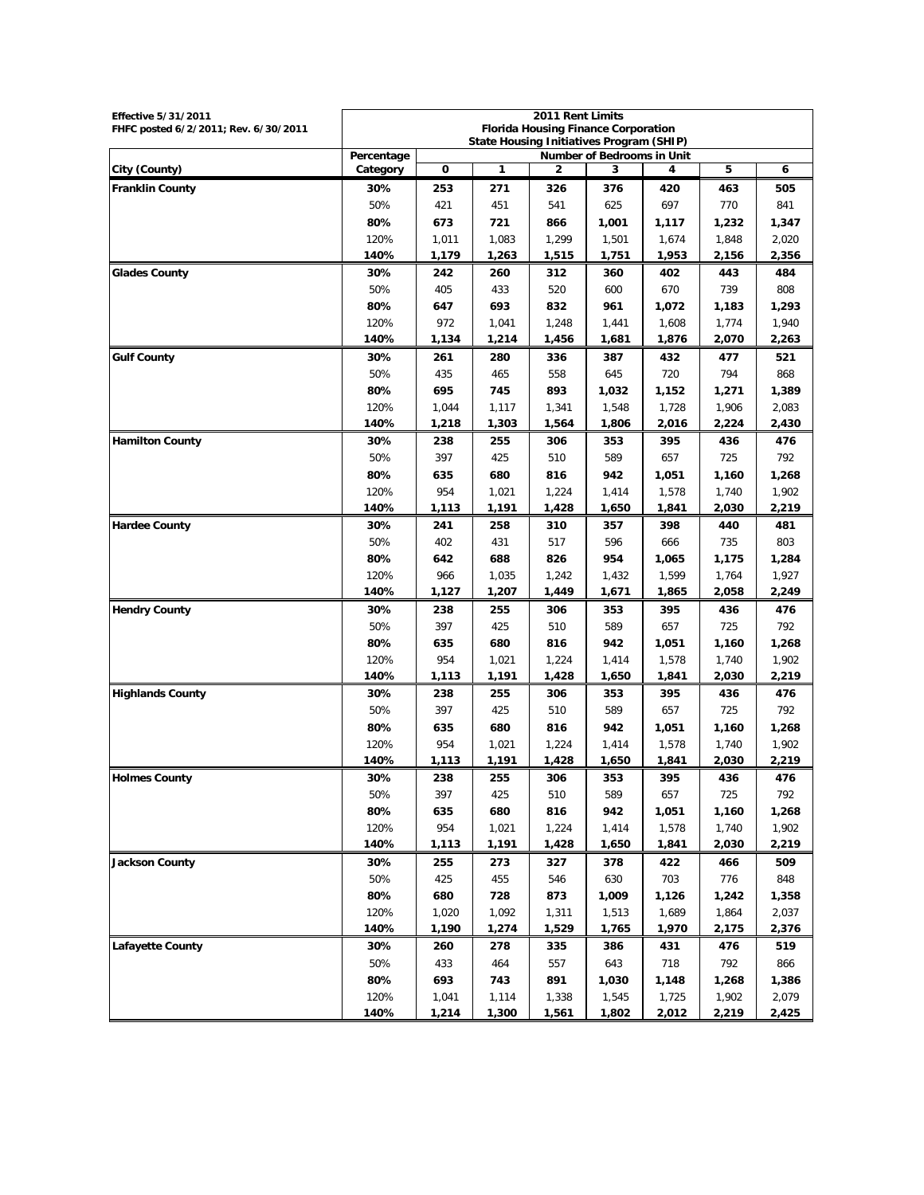| <b>Effective 5/31/2011</b>           | 2011 Rent Limits                                                                       |              |                |                |                |                |                |                |
|--------------------------------------|----------------------------------------------------------------------------------------|--------------|----------------|----------------|----------------|----------------|----------------|----------------|
| FHFC posted 6/2/2011; Rev. 6/30/2011 | <b>Florida Housing Finance Corporation</b><br>State Housing Initiatives Program (SHIP) |              |                |                |                |                |                |                |
|                                      | Percentage<br><b>Number of Bedrooms in Unit</b>                                        |              |                |                |                |                |                |                |
| City (County)                        | Category                                                                               | 0            | 1              | 2              | 3              | 4              | 5              | 6              |
| <b>Franklin County</b>               | 30%                                                                                    | 253          | 271            | 326            | 376            | 420            | 463            | 505            |
|                                      | 50%                                                                                    | 421          | 451            | 541            | 625            | 697            | 770            | 841            |
|                                      | 80%                                                                                    | 673          | 721            | 866            | 1,001          | 1,117          | 1,232          | 1,347          |
|                                      | 120%                                                                                   | 1,011        | 1,083          | 1,299          | 1,501          | 1,674          | 1,848          | 2,020          |
|                                      | 140%                                                                                   | 1,179        | 1,263          | 1,515          | 1,751          | 1,953          | 2,156          | 2,356          |
| <b>Glades County</b>                 | 30%                                                                                    | 242          | 260            | 312            | 360            | 402            | 443            | 484            |
|                                      | 50%                                                                                    | 405          | 433            | 520            | 600            | 670            | 739            | 808            |
|                                      | 80%                                                                                    | 647          | 693            | 832            | 961            | 1,072          | 1,183          | 1,293          |
|                                      | 120%<br>140%                                                                           | 972<br>1,134 | 1,041<br>1,214 | 1,248<br>1,456 | 1,441<br>1,681 | 1,608<br>1,876 | 1,774<br>2,070 | 1,940<br>2,263 |
| <b>Gulf County</b>                   | 30%                                                                                    | 261          | 280            | 336            | 387            | 432            | 477            | 521            |
|                                      | 50%                                                                                    | 435          | 465            | 558            | 645            | 720            | 794            | 868            |
|                                      | 80%                                                                                    | 695          | 745            | 893            | 1,032          | 1,152          | 1,271          | 1,389          |
|                                      | 120%                                                                                   | 1,044        | 1,117          | 1,341          | 1,548          | 1,728          | 1,906          | 2,083          |
|                                      | 140%                                                                                   | 1,218        | 1,303          | 1,564          | 1,806          | 2,016          | 2,224          | 2,430          |
| <b>Hamilton County</b>               | 30%                                                                                    | 238          | 255            | 306            | 353            | 395            | 436            | 476            |
|                                      | 50%                                                                                    | 397          | 425            | 510            | 589            | 657            | 725            | 792            |
|                                      | 80%                                                                                    | 635          | 680            | 816            | 942            | 1,051          | 1,160          | 1,268          |
|                                      | 120%                                                                                   | 954          | 1,021          | 1,224          | 1,414          | 1,578          | 1,740          | 1,902          |
|                                      | 140%                                                                                   | 1,113        | 1,191          | 1,428          | 1,650          | 1,841          | 2,030          | 2,219          |
| <b>Hardee County</b>                 | 30%                                                                                    | 241          | 258            | 310            | 357            | 398            | 440            | 481            |
|                                      | 50%                                                                                    | 402          | 431            | 517            | 596            | 666            | 735            | 803            |
|                                      | 80%                                                                                    | 642          | 688            | 826            | 954            | 1,065          | 1,175          | 1,284          |
|                                      | 120%                                                                                   | 966          | 1,035          | 1,242          | 1,432          | 1,599          | 1,764          | 1,927          |
|                                      | 140%                                                                                   | 1,127        | 1,207          | 1,449          | 1,671          | 1,865          | 2,058          | 2,249          |
| <b>Hendry County</b>                 | 30%                                                                                    | 238          | 255            | 306            | 353            | 395            | 436            | 476            |
|                                      | 50%                                                                                    | 397          | 425            | 510            | 589            | 657            | 725            | 792            |
|                                      | 80%                                                                                    | 635          | 680            | 816            | 942            | 1,051          | 1,160          | 1,268          |
|                                      | 120%                                                                                   | 954          | 1,021          | 1,224          | 1,414          | 1,578          | 1,740          | 1,902          |
|                                      | 140%                                                                                   | 1,113        | 1,191          | 1,428          | 1,650          | 1,841          | 2,030          | 2,219          |
| <b>Highlands County</b>              | 30%                                                                                    | 238          | 255            | 306            | 353            | 395            | 436            | 476            |
|                                      | 50%                                                                                    | 397          | 425            | 510            | 589            | 657            | 725            | 792            |
|                                      | 80%                                                                                    | 635          | 680            | 816            | 942            | 1,051          | 1,160          | 1,268          |
|                                      | 120%                                                                                   | 954          | 1,021          | 1,224          | 1,414          | 1,578          | 1.740          | 1,902          |
|                                      | 140%                                                                                   | 1,113        | 1,191          | 1,428          | 1,650          | 1,841          | 2,030          | 2,219          |
| <b>Holmes County</b>                 | 30%                                                                                    | 238<br>397   | 255            | 306            | 353<br>589     | 395            | 436            | 476            |
|                                      | 50%<br>80%                                                                             | 635          | 425<br>680     | 510<br>816     | 942            | 657<br>1,051   | 725<br>1,160   | 792            |
|                                      | 120%                                                                                   | 954          | 1,021          | 1,224          | 1,414          | 1,578          | 1,740          | 1,268<br>1,902 |
|                                      | 140%                                                                                   | 1,113        | 1,191          | 1,428          | 1,650          | 1,841          | 2,030          | 2,219          |
| <b>Jackson County</b>                | 30%                                                                                    | 255          | 273            | 327            | 378            | 422            | 466            | 509            |
|                                      | 50%                                                                                    | 425          | 455            | 546            | 630            | 703            | 776            | 848            |
|                                      | 80%                                                                                    | 680          | 728            | 873            | 1,009          | 1,126          | 1,242          | 1,358          |
|                                      | 120%                                                                                   | 1,020        | 1,092          | 1,311          | 1,513          | 1,689          | 1,864          | 2,037          |
|                                      | 140%                                                                                   | 1,190        | 1,274          | 1,529          | 1,765          | 1,970          | 2,175          | 2,376          |
| <b>Lafayette County</b>              | 30%                                                                                    | 260          | 278            | 335            | 386            | 431            | 476            | 519            |
|                                      | 50%                                                                                    | 433          | 464            | 557            | 643            | 718            | 792            | 866            |
|                                      | 80%                                                                                    | 693          | 743            | 891            | 1,030          | 1,148          | 1,268          | 1,386          |
|                                      | 120%                                                                                   | 1,041        | 1,114          | 1,338          | 1,545          | 1,725          | 1,902          | 2,079          |
|                                      | 140%                                                                                   | 1,214        | 1,300          | 1,561          | 1,802          | 2,012          | 2,219          | 2,425          |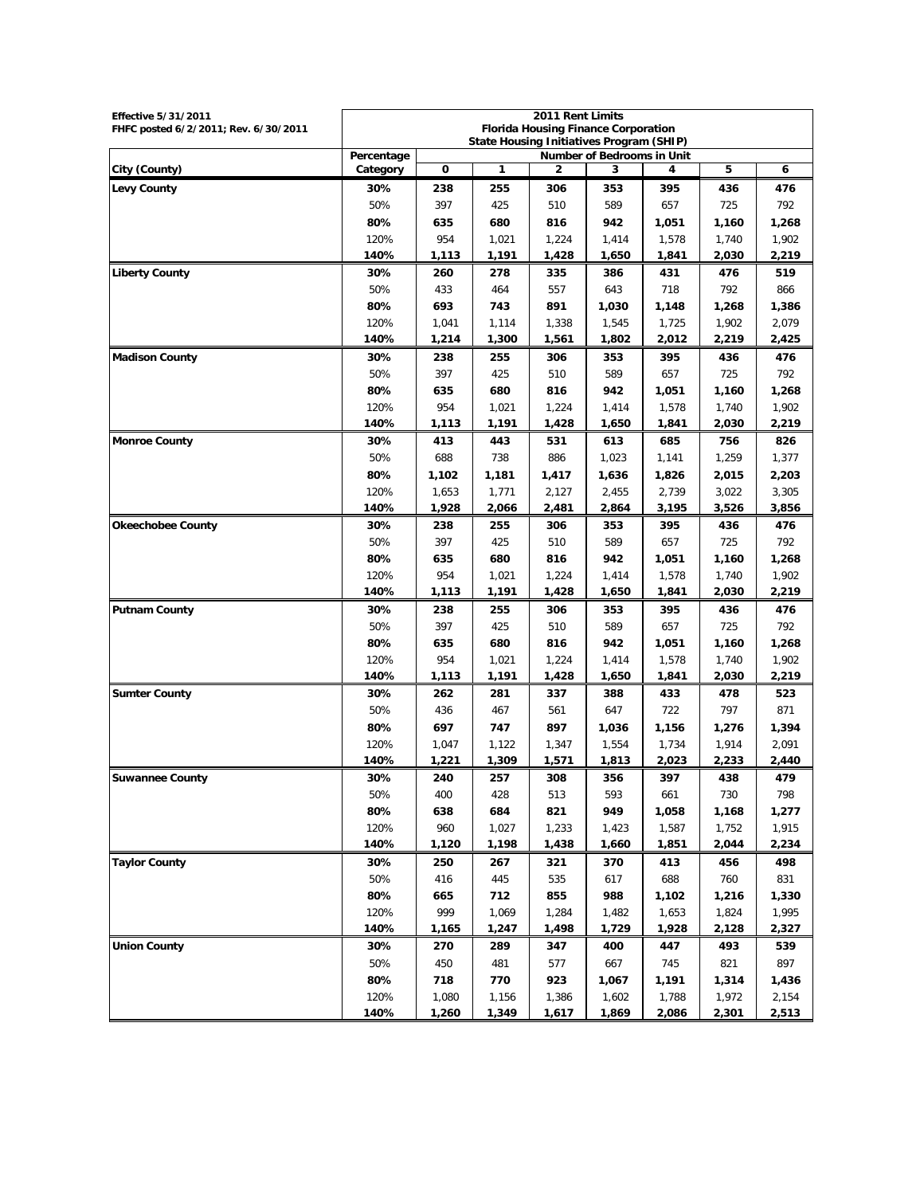| 2011 Rent Limits<br><b>Effective 5/31/2011</b> |                                          |            |                                          |                                            |                |                |                |                |  |
|------------------------------------------------|------------------------------------------|------------|------------------------------------------|--------------------------------------------|----------------|----------------|----------------|----------------|--|
| FHFC posted 6/2/2011; Rev. 6/30/2011           |                                          |            | State Housing Initiatives Program (SHIP) | <b>Florida Housing Finance Corporation</b> |                |                |                |                |  |
|                                                | Percentage<br>Number of Bedrooms in Unit |            |                                          |                                            |                |                |                |                |  |
| City (County)                                  | Category                                 | 0          | 1                                        | 2                                          | 3              | 4              | 5              | 6              |  |
| <b>Levy County</b>                             | 30%                                      | 238        | 255                                      | 306                                        | 353            | 395            | 436            | 476            |  |
|                                                | 50%                                      | 397        | 425                                      | 510                                        | 589            | 657            | 725            | 792            |  |
|                                                | 80%                                      | 635        | 680                                      | 816                                        | 942            | 1,051          | 1,160          | 1,268          |  |
|                                                | 120%                                     | 954        | 1,021                                    | 1,224                                      | 1,414          | 1,578          | 1,740          | 1,902          |  |
|                                                | 140%                                     | 1,113      | 1,191                                    | 1,428                                      | 1,650          | 1,841          | 2,030          | 2,219          |  |
| <b>Liberty County</b>                          | 30%                                      | 260        | 278                                      | 335                                        | 386            | 431            | 476            | 519            |  |
|                                                | 50%                                      | 433        | 464                                      | 557                                        | 643            | 718            | 792            | 866            |  |
|                                                | 80%                                      | 693        | 743                                      | 891                                        | 1,030          | 1,148          | 1,268          | 1,386          |  |
|                                                | 120%                                     | 1,041      | 1,114                                    | 1,338                                      | 1,545          | 1,725          | 1,902          | 2,079          |  |
|                                                | 140%                                     | 1,214      | 1,300                                    | 1,561                                      | 1,802          | 2,012          | 2,219          | 2,425          |  |
| <b>Madison County</b>                          | 30%                                      | 238        | 255                                      | 306                                        | 353            | 395            | 436            | 476            |  |
|                                                | 50%                                      | 397        | 425                                      | 510                                        | 589            | 657            | 725            | 792            |  |
|                                                | 80%                                      | 635<br>954 | 680                                      | 816                                        | 942            | 1,051          | 1,160          | 1,268          |  |
|                                                | 120%<br>140%                             | 1,113      | 1,021<br>1,191                           | 1,224<br>1,428                             | 1,414<br>1,650 | 1,578<br>1,841 | 1,740<br>2,030 | 1,902<br>2,219 |  |
| <b>Monroe County</b>                           | 30%                                      | 413        | 443                                      | 531                                        | 613            | 685            | 756            | 826            |  |
|                                                | 50%                                      | 688        | 738                                      | 886                                        | 1,023          | 1,141          | 1,259          | 1,377          |  |
|                                                | 80%                                      | 1,102      | 1,181                                    | 1,417                                      | 1,636          | 1,826          | 2,015          | 2,203          |  |
|                                                | 120%                                     | 1,653      | 1,771                                    | 2,127                                      | 2,455          | 2,739          | 3,022          | 3,305          |  |
|                                                | 140%                                     | 1,928      | 2,066                                    | 2,481                                      | 2,864          | 3,195          | 3,526          | 3,856          |  |
| <b>Okeechobee County</b>                       | 30%                                      | 238        | 255                                      | 306                                        | 353            | 395            | 436            | 476            |  |
|                                                | 50%                                      | 397        | 425                                      | 510                                        | 589            | 657            | 725            | 792            |  |
|                                                | 80%                                      | 635        | 680                                      | 816                                        | 942            | 1,051          | 1,160          | 1,268          |  |
|                                                | 120%                                     | 954        | 1,021                                    | 1,224                                      | 1,414          | 1,578          | 1,740          | 1,902          |  |
|                                                | 140%                                     | 1,113      | 1,191                                    | 1,428                                      | 1,650          | 1,841          | 2,030          | 2,219          |  |
| <b>Putnam County</b>                           | 30%                                      | 238        | 255                                      | 306                                        | 353            | 395            | 436            | 476            |  |
|                                                | 50%                                      | 397        | 425                                      | 510                                        | 589            | 657            | 725            | 792            |  |
|                                                | 80%                                      | 635        | 680                                      | 816                                        | 942            | 1,051          | 1,160          | 1,268          |  |
|                                                | 120%                                     | 954        | 1,021                                    | 1,224                                      | 1,414          | 1,578          | 1,740          | 1,902          |  |
|                                                | 140%                                     | 1,113      | 1,191                                    | 1,428                                      | 1,650          | 1,841          | 2,030          | 2,219          |  |
| <b>Sumter County</b>                           | 30%                                      | 262        | 281                                      | 337                                        | 388            | 433            | 478            | 523            |  |
|                                                | 50%                                      | 436        | 467                                      | 561                                        | 647            | 722            | 797            | 871            |  |
|                                                | 80%                                      | 697        | 747                                      | 897                                        | 1,036          | 1,156          | 1,276          | 1,394          |  |
|                                                | 120%                                     | 1,047      | 1,122                                    | 1,347                                      | 1,554          | 1,734          | 1,914          | 2,091          |  |
|                                                | 140%                                     | 1,221      | 1,309                                    | 1,571                                      | 1,813          | 2,023          | 2,233          | 2,440          |  |
| <b>Suwannee County</b>                         | 30%                                      | 240        | 257                                      | 308                                        | 356            | 397            | 438            | 479            |  |
|                                                | 50%                                      | 400        | 428                                      | 513                                        | 593            | 661            | 730            | 798            |  |
|                                                | 80%                                      | 638        | 684                                      | 821                                        | 949            | 1,058          | 1,168          | 1,277          |  |
|                                                | 120%                                     | 960        | 1,027                                    | 1,233                                      | 1,423          | 1,587          | 1,752          | 1,915          |  |
|                                                | 140%                                     | 1,120      | 1,198                                    | 1,438                                      | 1,660          | 1,851          | 2,044          | 2,234          |  |
| <b>Taylor County</b>                           | 30%                                      | 250        | 267                                      | 321                                        | 370            | 413            | 456            | 498            |  |
|                                                | 50%                                      | 416        | 445                                      | 535                                        | 617            | 688            | 760            | 831            |  |
|                                                | 80%                                      | 665        | 712                                      | 855                                        | 988            | 1,102          | 1,216          | 1,330          |  |
|                                                | 120%                                     | 999        | 1,069                                    | 1,284                                      | 1,482          | 1,653          | 1,824          | 1,995          |  |
|                                                | 140%                                     | 1,165      | 1,247                                    | 1,498                                      | 1,729          | 1,928          | 2,128          | 2,327          |  |
| <b>Union County</b>                            | 30%                                      | 270        | 289                                      | 347                                        | 400            | 447            | 493            | 539            |  |
|                                                | 50%<br>80%                               | 450<br>718 | 481<br>770                               | 577<br>923                                 | 667<br>1,067   | 745<br>1,191   | 821            | 897            |  |
|                                                | 120%                                     | 1,080      | 1,156                                    | 1,386                                      | 1,602          | 1,788          | 1,314<br>1,972 | 1,436<br>2,154 |  |
|                                                | 140%                                     | 1,260      | 1,349                                    | 1,617                                      | 1,869          | 2,086          | 2,301          | 2,513          |  |